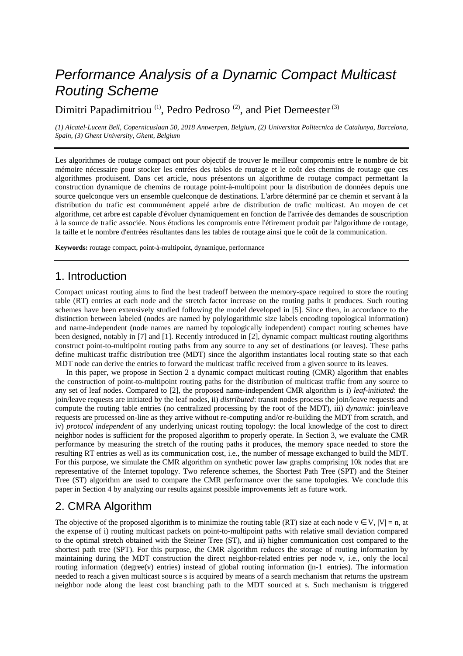# Performance Analysis of a Dynamic Compact Multicast Routing Scheme

Dimitri Papadimitriou<sup>(1)</sup>, Pedro Pedroso<sup>(2)</sup>, and Piet Demeester<sup>(3)</sup>

*(1) Alcatel-Lucent Bell, Copernicuslaan 50, 2018 Antwerpen, Belgium, (2) Universitat Politecnica de Catalunya, Barcelona, Spain, (3) Ghent University, Ghent, Belgium* 

Les algorithmes de routage compact ont pour objectif de trouver le meilleur compromis entre le nombre de bit mémoire nécessaire pour stocker les entrées des tables de routage et le coût des chemins de routage que ces algorithmes produisent. Dans cet article, nous présentons un algorithme de routage compact permettant la construction dynamique de chemins de routage point-à-multipoint pour la distribution de données depuis une source quelconque vers un ensemble quelconque de destinations. L'arbre déterminé par ce chemin et servant à la distribution du trafic est communément appelé arbre de distribution de trafic multicast. Au moyen de cet algorithme, cet arbre est capable d'évoluer dynamiquement en fonction de l'arrivée des demandes de souscription à la source de trafic associée. Nous étudions les compromis entre l'étirement produit par l'algorithme de routage, la taille et le nombre d'entrées résultantes dans les tables de routage ainsi que le coût de la communication.

**Keywords:** routage compact, point-à-multipoint, dynamique, performance

# 1. Introduction

Compact unicast routing aims to find the best tradeoff between the memory-space required to store the routing table (RT) entries at each node and the stretch factor increase on the routing paths it produces. Such routing schemes have been extensively studied following the model developed in [5]. Since then, in accordance to the distinction between labeled (nodes are named by polylogarithmic size labels encoding topological information) and name-independent (node names are named by topologically independent) compact routing schemes have been designed, notably in [7] and [1]. Recently introduced in [2], dynamic compact multicast routing algorithms construct point-to-multipoint routing paths from any source to any set of destinations (or leaves). These paths define multicast traffic distribution tree (MDT) since the algorithm instantiates local routing state so that each MDT node can derive the entries to forward the multicast traffic received from a given source to its leaves.

In this paper, we propose in Section 2 a dynamic compact multicast routing (CMR) algorithm that enables the construction of point-to-multipoint routing paths for the distribution of multicast traffic from any source to any set of leaf nodes. Compared to [2], the proposed name-independent CMR algorithm is i) *leaf-initiated*: the join/leave requests are initiated by the leaf nodes, ii) *distributed*: transit nodes process the join/leave requests and compute the routing table entries (no centralized processing by the root of the MDT), iii) *dynamic*: join/leave requests are processed on-line as they arrive without re-computing and/or re-building the MDT from scratch, and iv) *protocol independent* of any underlying unicast routing topology: the local knowledge of the cost to direct neighbor nodes is sufficient for the proposed algorithm to properly operate. In Section 3, we evaluate the CMR performance by measuring the stretch of the routing paths it produces, the memory space needed to store the resulting RT entries as well as its communication cost, i.e., the number of message exchanged to build the MDT. For this purpose, we simulate the CMR algorithm on synthetic power law graphs comprising 10k nodes that are representative of the Internet topology. Two reference schemes, the Shortest Path Tree (SPT) and the Steiner Tree (ST) algorithm are used to compare the CMR performance over the same topologies. We conclude this paper in Section 4 by analyzing our results against possible improvements left as future work.

# 2. CMRA Algorithm

The objective of the proposed algorithm is to minimize the routing table (RT) size at each node  $v \in V$ ,  $|V| = n$ , at the expense of i) routing multicast packets on point-to-multipoint paths with relative small deviation compared to the optimal stretch obtained with the Steiner Tree (ST), and ii) higher communication cost compared to the shortest path tree (SPT). For this purpose, the CMR algorithm reduces the storage of routing information by maintaining during the MDT construction the direct neighbor-related entries per node v, i.e., only the local routing information (degree(v) entries) instead of global routing information ( $|n-1|$  entries). The information needed to reach a given multicast source s is acquired by means of a search mechanism that returns the upstream neighbor node along the least cost branching path to the MDT sourced at s. Such mechanism is triggered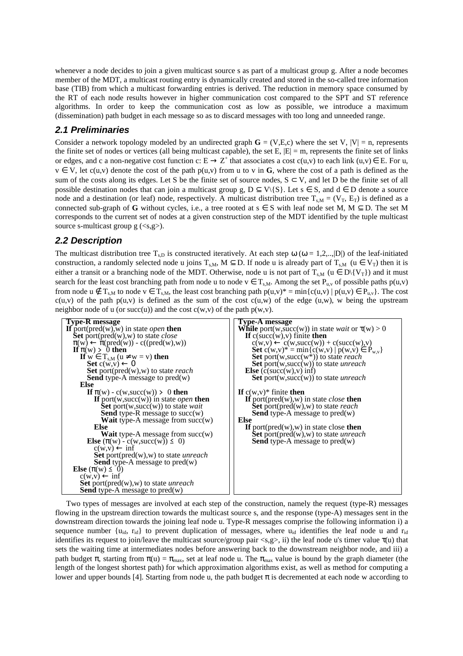whenever a node decides to join a given multicast source s as part of a multicast group g. After a node becomes member of the MDT, a multicast routing entry is dynamically created and stored in the so-called tree information base (TIB) from which a multicast forwarding entries is derived. The reduction in memory space consumed by the RT of each node results however in higher communication cost compared to the SPT and ST reference algorithms. In order to keep the communication cost as low as possible, we introduce a maximum (dissemination) path budget in each message so as to discard messages with too long and unneeded range.

#### **2.1 Preliminaries**

Consider a network topology modeled by an undirected graph  $\mathbf{G} = (\mathbf{V}, \mathbf{E}, \mathbf{c})$  where the set V,  $|\mathbf{V}| = \mathbf{n}$ , represents the finite set of nodes or vertices (all being multicast capable), the set E,  $|E| = m$ , represents the finite set of links or edges, and c a non-negative cost function c:  $E \to Z^+$  that associates a cost c(u,v) to each link (u,v)  $\in E$ . For u,  $v \in V$ , let c(u,v) denote the cost of the path  $p(u,v)$  from u to v in **G**, where the cost of a path is defined as the sum of the costs along its edges. Let S be the finite set of source nodes,  $S \subset V$ , and let D be the finite set of all possible destination nodes that can join a multicast group g,  $D \subseteq V\{S\}$ . Let  $s \in S$ , and  $d \in D$  denote a source node and a destination (or leaf) node, respectively. A multicast distribution tree  $T_{s,M} = (V_T, E_T)$  is defined as a connected sub-graph of **G** without cycles, i.e., a tree rooted at  $s \in S$  with leaf node set M, M  $\subseteq$  D. The set M corresponds to the current set of nodes at a given construction step of the MDT identified by the tuple multicast source s-multicast group  $g \approx s$ ,  $\approx s$ .

#### **2.2 Description**

The multicast distribution tree T<sub>s,D</sub> is constructed iteratively. At each step  $\omega$  ( $\omega = 1,2,...,|D|$ ) of the leaf-initiated construction, a randomly selected node u joins  $T_{s,M}$ ,  $M \subseteq D$ . If node u is already part of  $T_{s,M}$  (u  $\in V_T$ ) then it is either a transit or a branching node of the MDT. Otherwise, node u is not part of  $T_{s,M}$  (u  $\in D\backslash \{V_T\}$ ) and it must search for the least cost branching path from node u to node  $v \in T_{s,M}$ . Among the set  $P_{u,v}$  of possible paths  $p(u,v)$ from node  $u \notin T_{s,M}$  to node  $v \in T_{s,M}$ , the least cost branching path  $p(u,v)^* = \min\{c(u,v) \mid p(u,v) \in P_{u,v}\}\)$ . The cost  $c(u,v)$  of the path  $p(u,v)$  is defined as the sum of the cost  $c(u,w)$  of the edge  $(u,w)$ , w being the upstream neighbor node of u (or succ(u)) and the cost  $c(w, v)$  of the path  $p(w, v)$ .



Two types of messages are involved at each step of the construction, namely the request (type-R) messages flowing in the upstream direction towards the multicast source s, and the response (type-A) messages sent in the downstream direction towards the joining leaf node u. Type-R messages comprise the following information i) a sequence number  $\{u_{id}, r_{id}\}$  to prevent duplication of messages, where  $u_{id}$  identifies the leaf node u and  $r_{id}$ identifies its request to join/leave the multicast source/group pair  $\langle s, g \rangle$ , ii) the leaf node u's timer value  $\tau(u)$  that sets the waiting time at intermediates nodes before answering back to the downstream neighbor node, and iii) a path budget  $\pi$ , starting from  $\pi(u) = \pi_{\text{max}}$ , set at leaf node u. The  $\pi_{\text{max}}$  value is bound by the graph diameter (the length of the longest shortest path) for which approximation algorithms exist, as well as method for computing a lower and upper bounds [4]. Starting from node u, the path budget π is decremented at each node w according to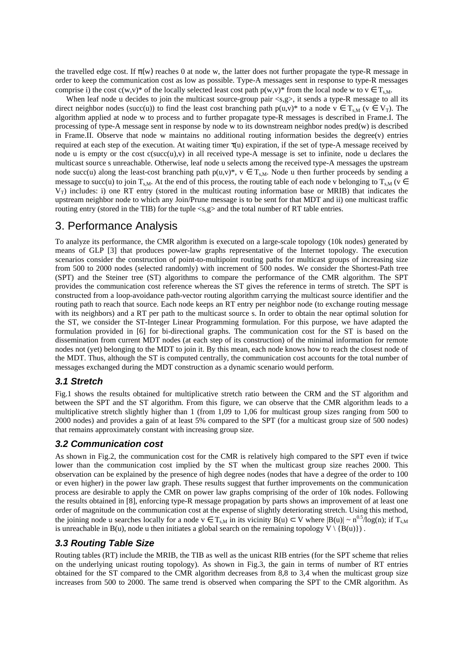the travelled edge cost. If  $\pi(w)$  reaches 0 at node w, the latter does not further propagate the type-R message in order to keep the communication cost as low as possible. Type-A messages sent in response to type-R messages comprise i) the cost c(w,v)\* of the locally selected least cost path  $p(w,v)$ \* from the local node w to  $v \in T_{s,M}$ .

When leaf node u decides to join the multicast source-group pair <s,g>, it sends a type-R message to all its direct neighbor nodes (succ(u)) to find the least cost branching path  $p(u,v)^*$  to a node  $v \in T_{s,M}$  ( $v \in V_T$ ). The algorithm applied at node w to process and to further propagate type-R messages is described in Frame.I. The processing of type-A message sent in response by node w to its downstream neighbor nodes pred(w) is described in Frame.II. Observe that node w maintains no additional routing information besides the degree(v) entries required at each step of the execution. At waiting timer τ(u) expiration, if the set of type-A message received by node u is empty or the cost  $c(succ(u),v)$  in all received type-A message is set to infinite, node u declares the multicast source s unreachable. Otherwise, leaf node u selects among the received type-A messages the upstream node succ(u) along the least-cost branching path  $p(u,v)^*, v \in T_{s,M}$ . Node u then further proceeds by sending a message to succ(u) to join T<sub>s,M</sub>. At the end of this process, the routing table of each node v belonging to T<sub>sM</sub> (v ∈  $V_T$ ) includes: i) one RT entry (stored in the multicast routing information base or MRIB) that indicates the upstream neighbor node to which any Join/Prune message is to be sent for that MDT and ii) one multicast traffic routing entry (stored in the TIB) for the tuple <s,g> and the total number of RT table entries.

# 3. Performance Analysis

To analyze its performance, the CMR algorithm is executed on a large-scale topology (10k nodes) generated by means of GLP [3] that produces power-law graphs representative of the Internet topology. The execution scenarios consider the construction of point-to-multipoint routing paths for multicast groups of increasing size from 500 to 2000 nodes (selected randomly) with increment of 500 nodes. We consider the Shortest-Path tree (SPT) and the Steiner tree (ST) algorithms to compare the performance of the CMR algorithm. The SPT provides the communication cost reference whereas the ST gives the reference in terms of stretch. The SPT is constructed from a loop-avoidance path-vector routing algorithm carrying the multicast source identifier and the routing path to reach that source. Each node keeps an RT entry per neighbor node (to exchange routing message with its neighbors) and a RT per path to the multicast source s. In order to obtain the near optimal solution for the ST, we consider the ST-Integer Linear Programming formulation. For this purpose, we have adapted the formulation provided in [6] for bi-directional graphs. The communication cost for the ST is based on the dissemination from current MDT nodes (at each step of its construction) of the minimal information for remote nodes not (yet) belonging to the MDT to join it. By this mean, each node knows how to reach the closest node of the MDT. Thus, although the ST is computed centrally, the communication cost accounts for the total number of messages exchanged during the MDT construction as a dynamic scenario would perform.

#### **3.1 Stretch**

Fig.1 shows the results obtained for multiplicative stretch ratio between the CRM and the ST algorithm and between the SPT and the ST algorithm. From this figure, we can observe that the CMR algorithm leads to a multiplicative stretch slightly higher than 1 (from 1,09 to 1,06 for multicast group sizes ranging from 500 to 2000 nodes) and provides a gain of at least 5% compared to the SPT (for a multicast group size of 500 nodes) that remains approximately constant with increasing group size.

#### **3.2 Communication cost**

As shown in Fig.2, the communication cost for the CMR is relatively high compared to the SPT even if twice lower than the communication cost implied by the ST when the multicast group size reaches 2000. This observation can be explained by the presence of high degree nodes (nodes that have a degree of the order to 100 or even higher) in the power law graph. These results suggest that further improvements on the communication process are desirable to apply the CMR on power law graphs comprising of the order of 10k nodes. Following the results obtained in [8], enforcing type-R message propagation by parts shows an improvement of at least one order of magnitude on the communication cost at the expense of slightly deteriorating stretch. Using this method, the joining node u searches locally for a node  $v \in T_{s,M}$  in its vicinity  $B(u) \subset V$  where  $|B(u)| \sim n^{0.5} / log(n)$ ; if  $T_{s,M}$ is unreachable in B(u), node u then initiates a global search on the remaining topology  $V \setminus \{B(u)\}\$ .

### **3.3 Routing Table Size**

Routing tables (RT) include the MRIB, the TIB as well as the unicast RIB entries (for the SPT scheme that relies on the underlying unicast routing topology). As shown in Fig.3, the gain in terms of number of RT entries obtained for the ST compared to the CMR algorithm decreases from 8,8 to 3,4 when the multicast group size increases from 500 to 2000. The same trend is observed when comparing the SPT to the CMR algorithm. As